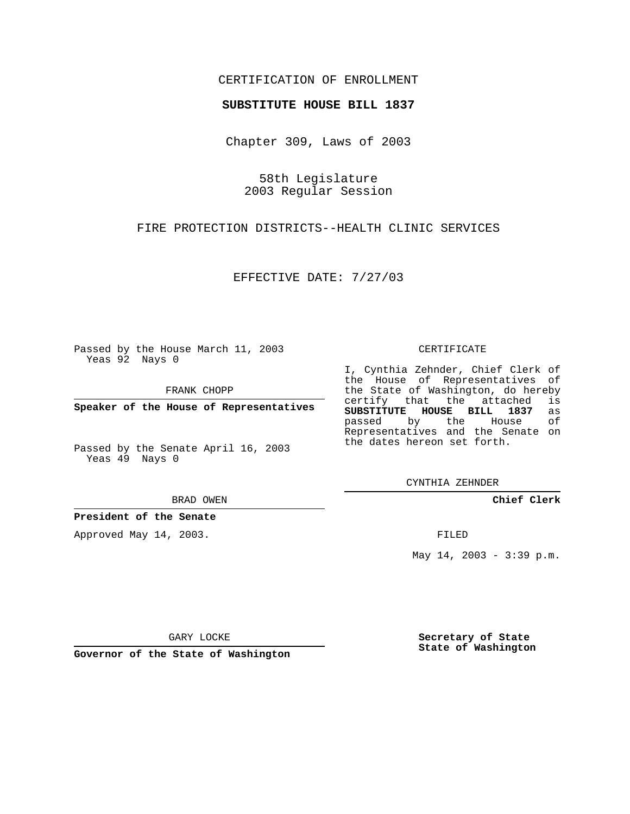## CERTIFICATION OF ENROLLMENT

## **SUBSTITUTE HOUSE BILL 1837**

Chapter 309, Laws of 2003

58th Legislature 2003 Regular Session

FIRE PROTECTION DISTRICTS--HEALTH CLINIC SERVICES

EFFECTIVE DATE: 7/27/03

Passed by the House March 11, 2003 Yeas 92 Nays 0

FRANK CHOPP

**Speaker of the House of Representatives**

Passed by the Senate April 16, 2003 Yeas 49 Nays 0

BRAD OWEN

**President of the Senate**

Approved May 14, 2003.

CERTIFICATE

I, Cynthia Zehnder, Chief Clerk of the House of Representatives of the State of Washington, do hereby<br>certify that the attached is certify that the attached **SUBSTITUTE HOUSE BILL 1837** as passed by the Representatives and the Senate on the dates hereon set forth.

CYNTHIA ZEHNDER

**Chief Clerk**

FILED

May  $14$ ,  $2003 - 3:39$  p.m.

GARY LOCKE

**Governor of the State of Washington**

**Secretary of State State of Washington**